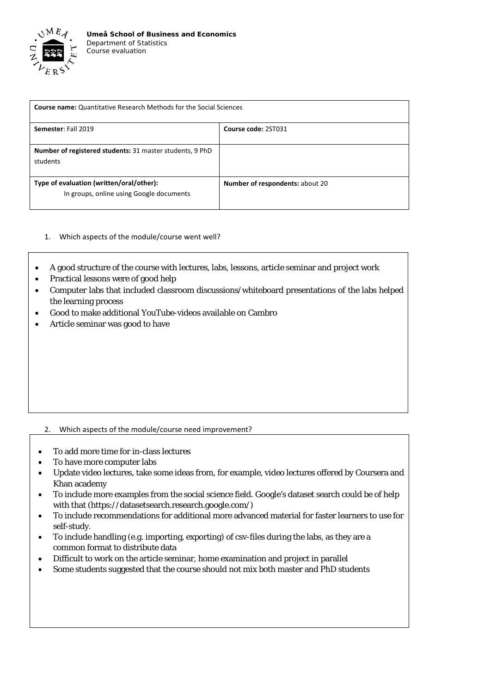

| <b>Course name:</b> Quantitative Research Methods for the Social Sciences            |                                 |
|--------------------------------------------------------------------------------------|---------------------------------|
| Semester: Fall 2019                                                                  | Course code: 2ST031             |
| Number of registered students: 31 master students, 9 PhD<br>students                 |                                 |
| Type of evaluation (written/oral/other):<br>In groups, online using Google documents | Number of respondents: about 20 |

- 1. Which aspects of the module/course went well?
- A good structure of the course with lectures, labs, lessons, article seminar and project work
- Practical lessons were of good help
- Computer labs that included classroom discussions/whiteboard presentations of the labs helped the learning process
- Good to make additional YouTube-videos available on Cambro
- Article seminar was good to have

## 2. Which aspects of the module/course need improvement?

- To add more time for in-class lectures
- To have more computer labs
- Update video lectures, take some ideas from, for example, video lectures offered by Coursera and Khan academy
- To include more examples from the social science field. Google's dataset search could be of help with that [\(https://datasetsearch.research.google.com/\)](https://datasetsearch.research.google.com/)
- To include recommendations for additional more advanced material for faster learners to use for self-study.
- To include handling (e.g. importing, exporting) of csv-files during the labs, as they are a common format to distribute data
- Difficult to work on the article seminar, home examination and project in parallel
- Some students suggested that the course should not mix both master and PhD students